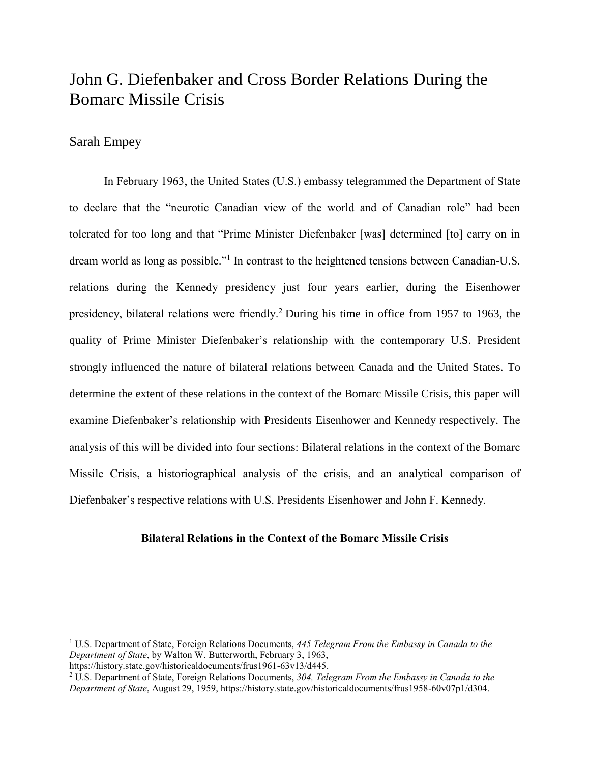# John G. Diefenbaker and Cross Border Relations During the Bomarc Missile Crisis

## Sarah Empey

 $\overline{\phantom{a}}$ 

In February 1963, the United States (U.S.) embassy telegrammed the Department of State to declare that the "neurotic Canadian view of the world and of Canadian role" had been tolerated for too long and that "Prime Minister Diefenbaker [was] determined [to] carry on in dream world as long as possible."<sup>1</sup> In contrast to the heightened tensions between Canadian-U.S. relations during the Kennedy presidency just four years earlier, during the Eisenhower presidency, bilateral relations were friendly. <sup>2</sup> During his time in office from 1957 to 1963, the quality of Prime Minister Diefenbaker's relationship with the contemporary U.S. President strongly influenced the nature of bilateral relations between Canada and the United States. To determine the extent of these relations in the context of the Bomarc Missile Crisis, this paper will examine Diefenbaker's relationship with Presidents Eisenhower and Kennedy respectively. The analysis of this will be divided into four sections: Bilateral relations in the context of the Bomarc Missile Crisis, a historiographical analysis of the crisis, and an analytical comparison of Diefenbaker's respective relations with U.S. Presidents Eisenhower and John F. Kennedy.

#### **Bilateral Relations in the Context of the Bomarc Missile Crisis**

<sup>1</sup> U.S. Department of State, Foreign Relations Documents, *445 Telegram From the Embassy in Canada to the Department of State*, by Walton W. Butterworth, February 3, 1963,

https://history.state.gov/historicaldocuments/frus1961-63v13/d445.

<sup>2</sup> U.S. Department of State, Foreign Relations Documents, *304, Telegram From the Embassy in Canada to the Department of State*, August 29, 1959, https://history.state.gov/historicaldocuments/frus1958-60v07p1/d304.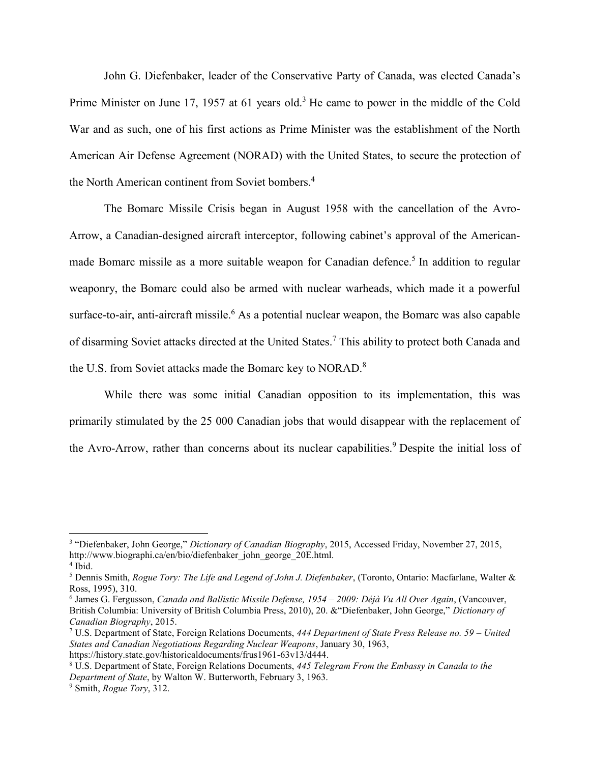John G. Diefenbaker, leader of the Conservative Party of Canada, was elected Canada's Prime Minister on June 17, 1957 at 61 years old.<sup>3</sup> He came to power in the middle of the Cold War and as such, one of his first actions as Prime Minister was the establishment of the North American Air Defense Agreement (NORAD) with the United States, to secure the protection of the North American continent from Soviet bombers.<sup>4</sup>

The Bomarc Missile Crisis began in August 1958 with the cancellation of the Avro-Arrow, a Canadian-designed aircraft interceptor, following cabinet's approval of the Americanmade Bomarc missile as a more suitable weapon for Canadian defence.<sup>5</sup> In addition to regular weaponry, the Bomarc could also be armed with nuclear warheads, which made it a powerful surface-to-air, anti-aircraft missile.<sup>6</sup> As a potential nuclear weapon, the Bomarc was also capable of disarming Soviet attacks directed at the United States.<sup>7</sup> This ability to protect both Canada and the U.S. from Soviet attacks made the Bomarc key to NORAD.<sup>8</sup>

While there was some initial Canadian opposition to its implementation, this was primarily stimulated by the 25 000 Canadian jobs that would disappear with the replacement of the Avro-Arrow, rather than concerns about its nuclear capabilities.<sup>9</sup> Despite the initial loss of

https://history.state.gov/historicaldocuments/frus1961-63v13/d444.

<sup>3</sup> "Diefenbaker, John George," *Dictionary of Canadian Biography*, 2015, Accessed Friday, November 27, 2015, http://www.biographi.ca/en/bio/diefenbaker\_john\_george\_20E.html. 4 Ibid.

<sup>5</sup> Dennis Smith, *Rogue Tory: The Life and Legend of John J. Diefenbaker*, (Toronto, Ontario: Macfarlane, Walter & Ross, 1995), 310.

<sup>6</sup> James G. Fergusson, *Canada and Ballistic Missile Defense, 1954 – 2009: Déjà Vu All Over Again*, (Vancouver, British Columbia: University of British Columbia Press, 2010), 20. &"Diefenbaker, John George," *Dictionary of Canadian Biography*, 2015.

<sup>7</sup> U.S. Department of State, Foreign Relations Documents, *444 Department of State Press Release no. 59 – United States and Canadian Negotiations Regarding Nuclear Weapons*, January 30, 1963,

<sup>8</sup> U.S. Department of State, Foreign Relations Documents, *445 Telegram From the Embassy in Canada to the Department of State*, by Walton W. Butterworth, February 3, 1963.

<sup>9</sup> Smith, *Rogue Tory*, 312.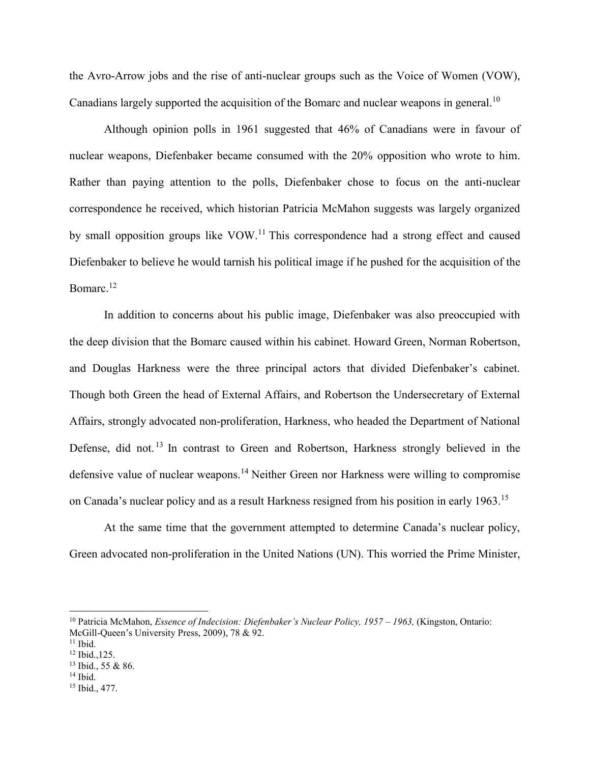the Avro-Arrow jobs and the rise of anti-nuclear groups such as the Voice of Women (VOW), Canadians largely supported the acquisition of the Bomarc and nuclear weapons in general.<sup>10</sup>

Although opinion polls in 1961 suggested that 46% of Canadians were in favour of nuclear weapons, Diefenbaker became consumed with the 20% opposition who wrote to him. Rather than paying attention to the polls, Diefenbaker chose to focus on the anti-nuclear correspondence he received, which historian Patricia McMahon suggests was largely organized by small opposition groups like VOW.<sup>11</sup> This correspondence had a strong effect and caused Diefenbaker to believe he would tarnish his political image if he pushed for the acquisition of the Bomarc.<sup>12</sup>

In addition to concerns about his public image, Diefenbaker was also preoccupied with the deep division that the Bomarc caused within his cabinet. Howard Green, Norman Robertson, and Douglas Harkness were the three principal actors that divided Diefenbaker's cabinet. Though both Green the head of External Affairs, and Robertson the Undersecretary of External Affairs, strongly advocated non-proliferation, Harkness, who headed the Department of National Defense, did not.<sup>13</sup> In contrast to Green and Robertson, Harkness strongly believed in the defensive value of nuclear weapons. <sup>14</sup> Neither Green nor Harkness were willing to compromise on Canada's nuclear policy and as a result Harkness resigned from his position in early 1963.<sup>15</sup>

At the same time that the government attempted to determine Canada's nuclear policy, Green advocated non-proliferation in the United Nations (UN). This worried the Prime Minister,

l

 $14$  Ibid.

<sup>10</sup> Patricia McMahon, *Essence of Indecision: Diefenbaker's Nuclear Policy, 1957 – 1963,* (Kingston, Ontario: McGill-Queen's University Press, 2009), 78 & 92.

 $11$  Ibid.

<sup>12</sup> Ibid.,125.

<sup>13</sup> Ibid., 55 & 86.

<sup>15</sup> Ibid., 477.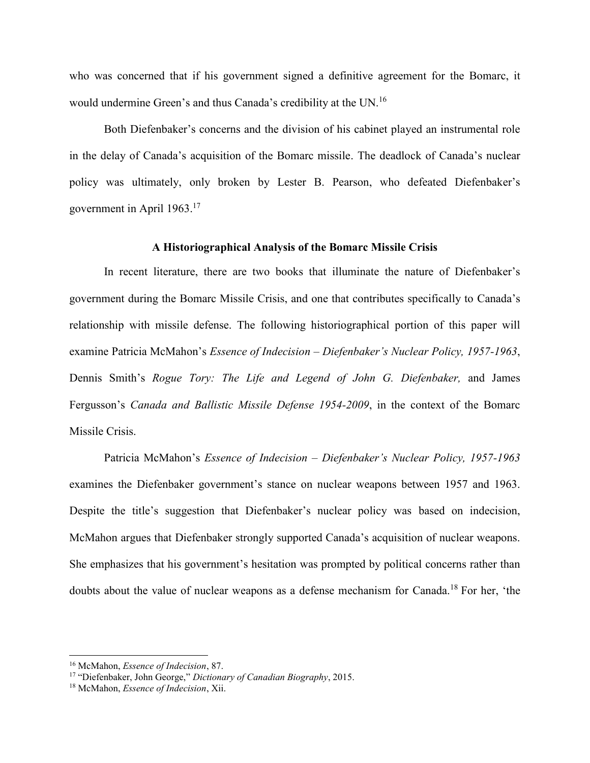who was concerned that if his government signed a definitive agreement for the Bomarc, it would undermine Green's and thus Canada's credibility at the UN.<sup>16</sup>

Both Diefenbaker's concerns and the division of his cabinet played an instrumental role in the delay of Canada's acquisition of the Bomarc missile. The deadlock of Canada's nuclear policy was ultimately, only broken by Lester B. Pearson, who defeated Diefenbaker's government in April 1963.<sup>17</sup>

#### **A Historiographical Analysis of the Bomarc Missile Crisis**

In recent literature, there are two books that illuminate the nature of Diefenbaker's government during the Bomarc Missile Crisis, and one that contributes specifically to Canada's relationship with missile defense. The following historiographical portion of this paper will examine Patricia McMahon's *Essence of Indecision – Diefenbaker's Nuclear Policy, 1957-1963*, Dennis Smith's *Rogue Tory: The Life and Legend of John G. Diefenbaker,* and James Fergusson's *Canada and Ballistic Missile Defense 1954-2009*, in the context of the Bomarc Missile Crisis.

Patricia McMahon's *Essence of Indecision – Diefenbaker's Nuclear Policy, 1957-1963* examines the Diefenbaker government's stance on nuclear weapons between 1957 and 1963. Despite the title's suggestion that Diefenbaker's nuclear policy was based on indecision, McMahon argues that Diefenbaker strongly supported Canada's acquisition of nuclear weapons. She emphasizes that his government's hesitation was prompted by political concerns rather than doubts about the value of nuclear weapons as a defense mechanism for Canada.<sup>18</sup> For her, 'the

<sup>16</sup> McMahon, *Essence of Indecision*, 87.

<sup>17</sup> "Diefenbaker, John George," *Dictionary of Canadian Biography*, 2015.

<sup>18</sup> McMahon, *Essence of Indecision*, Xii.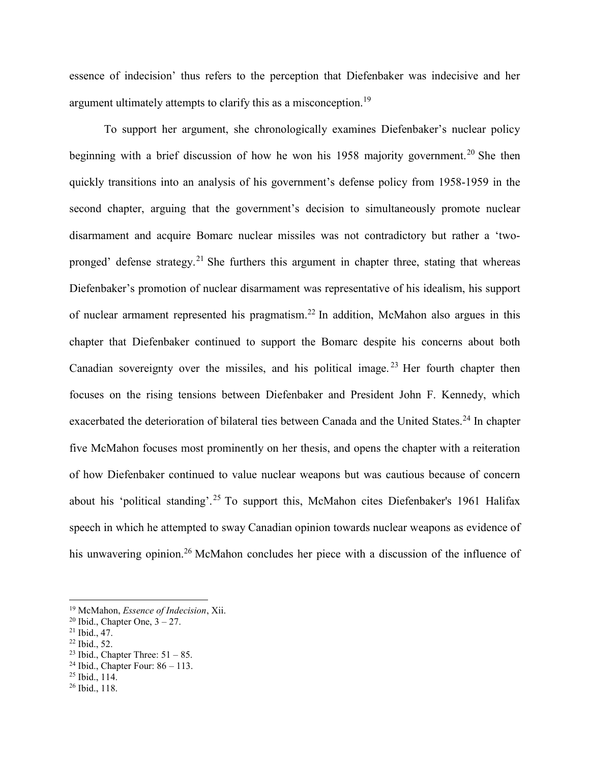essence of indecision' thus refers to the perception that Diefenbaker was indecisive and her argument ultimately attempts to clarify this as a misconception.<sup>19</sup>

To support her argument, she chronologically examines Diefenbaker's nuclear policy beginning with a brief discussion of how he won his 1958 majority government.<sup>20</sup> She then quickly transitions into an analysis of his government's defense policy from 1958-1959 in the second chapter, arguing that the government's decision to simultaneously promote nuclear disarmament and acquire Bomarc nuclear missiles was not contradictory but rather a 'twopronged' defense strategy.<sup>21</sup> She furthers this argument in chapter three, stating that whereas Diefenbaker's promotion of nuclear disarmament was representative of his idealism, his support of nuclear armament represented his pragmatism.<sup>22</sup> In addition, McMahon also argues in this chapter that Diefenbaker continued to support the Bomarc despite his concerns about both Canadian sovereignty over the missiles, and his political image.<sup>23</sup> Her fourth chapter then focuses on the rising tensions between Diefenbaker and President John F. Kennedy, which exacerbated the deterioration of bilateral ties between Canada and the United States.<sup>24</sup> In chapter five McMahon focuses most prominently on her thesis, and opens the chapter with a reiteration of how Diefenbaker continued to value nuclear weapons but was cautious because of concern about his 'political standing'.<sup>25</sup> To support this, McMahon cites Diefenbaker's 1961 Halifax speech in which he attempted to sway Canadian opinion towards nuclear weapons as evidence of his unwavering opinion.<sup>26</sup> McMahon concludes her piece with a discussion of the influence of

 $\overline{\phantom{a}}$ 

<sup>22</sup> Ibid., 52.

<sup>25</sup> Ibid., 114.

<sup>19</sup> McMahon, *Essence of Indecision*, Xii.

<sup>&</sup>lt;sup>20</sup> Ibid., Chapter One,  $3 - 27$ .

 $21$  Ibid., 47.

<sup>&</sup>lt;sup>23</sup> Ibid., Chapter Three:  $51 - 85$ .

 $24$  Ibid., Chapter Four:  $86 - 113$ .

<sup>26</sup> Ibid., 118.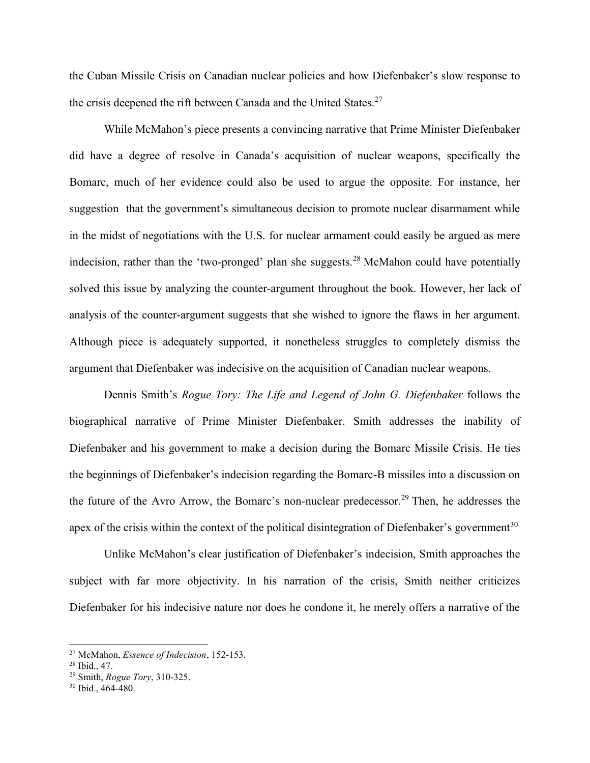the Cuban Missile Crisis on Canadian nuclear policies and how Diefenbaker's slow response to the crisis deepened the rift between Canada and the United States.<sup>27</sup>

While McMahon's piece presents a convincing narrative that Prime Minister Diefenbaker did have a degree of resolve in Canada's acquisition of nuclear weapons, specifically the Bomarc, much of her evidence could also be used to argue the opposite. For instance, her suggestion that the government's simultaneous decision to promote nuclear disarmament while in the midst of negotiations with the U.S. for nuclear armament could easily be argued as mere indecision, rather than the 'two-pronged' plan she suggests.<sup>28</sup> McMahon could have potentially solved this issue by analyzing the counter-argument throughout the book. However, her lack of analysis of the counter-argument suggests that she wished to ignore the flaws in her argument. Although piece is adequately supported, it nonetheless struggles to completely dismiss the argument that Diefenbaker was indecisive on the acquisition of Canadian nuclear weapons.

Dennis Smith's *Rogue Tory: The Life and Legend of John G. Diefenbaker* follows the biographical narrative of Prime Minister Diefenbaker. Smith addresses the inability of Diefenbaker and his government to make a decision during the Bomarc Missile Crisis. He ties the beginnings of Diefenbaker's indecision regarding the Bomarc-B missiles into a discussion on the future of the Avro Arrow, the Bomarc's non-nuclear predecessor.<sup>29</sup> Then, he addresses the apex of the crisis within the context of the political disintegration of Diefenbaker's government<sup>30</sup>

Unlike McMahon's clear justification of Diefenbaker's indecision, Smith approaches the subject with far more objectivity. In his narration of the crisis, Smith neither criticizes Diefenbaker for his indecisive nature nor does he condone it, he merely offers a narrative of the

<sup>27</sup> McMahon, *Essence of Indecision*, 152-153.

<sup>28</sup> Ibid., 47.

<sup>29</sup> Smith, *Rogue Tory*, 310-325.

<sup>30</sup> Ibid., 464-480.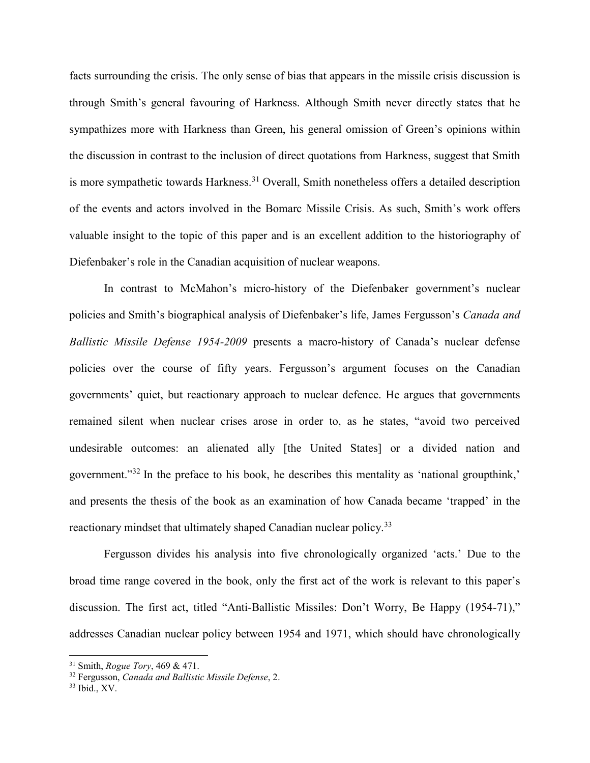facts surrounding the crisis. The only sense of bias that appears in the missile crisis discussion is through Smith's general favouring of Harkness. Although Smith never directly states that he sympathizes more with Harkness than Green, his general omission of Green's opinions within the discussion in contrast to the inclusion of direct quotations from Harkness, suggest that Smith is more sympathetic towards Harkness.<sup>31</sup> Overall, Smith nonetheless offers a detailed description of the events and actors involved in the Bomarc Missile Crisis. As such, Smith's work offers valuable insight to the topic of this paper and is an excellent addition to the historiography of Diefenbaker's role in the Canadian acquisition of nuclear weapons.

In contrast to McMahon's micro-history of the Diefenbaker government's nuclear policies and Smith's biographical analysis of Diefenbaker's life, James Fergusson's *Canada and Ballistic Missile Defense 1954-2009* presents a macro-history of Canada's nuclear defense policies over the course of fifty years. Fergusson's argument focuses on the Canadian governments' quiet, but reactionary approach to nuclear defence. He argues that governments remained silent when nuclear crises arose in order to, as he states, "avoid two perceived undesirable outcomes: an alienated ally [the United States] or a divided nation and government."<sup>32</sup> In the preface to his book, he describes this mentality as 'national groupthink,' and presents the thesis of the book as an examination of how Canada became 'trapped' in the reactionary mindset that ultimately shaped Canadian nuclear policy.<sup>33</sup>

Fergusson divides his analysis into five chronologically organized 'acts.' Due to the broad time range covered in the book, only the first act of the work is relevant to this paper's discussion. The first act, titled "Anti-Ballistic Missiles: Don't Worry, Be Happy (1954-71)," addresses Canadian nuclear policy between 1954 and 1971, which should have chronologically

<sup>31</sup> Smith, *Rogue Tory*, 469 & 471.

<sup>32</sup> Fergusson, *Canada and Ballistic Missile Defense*, 2.

<sup>33</sup> Ibid., XV.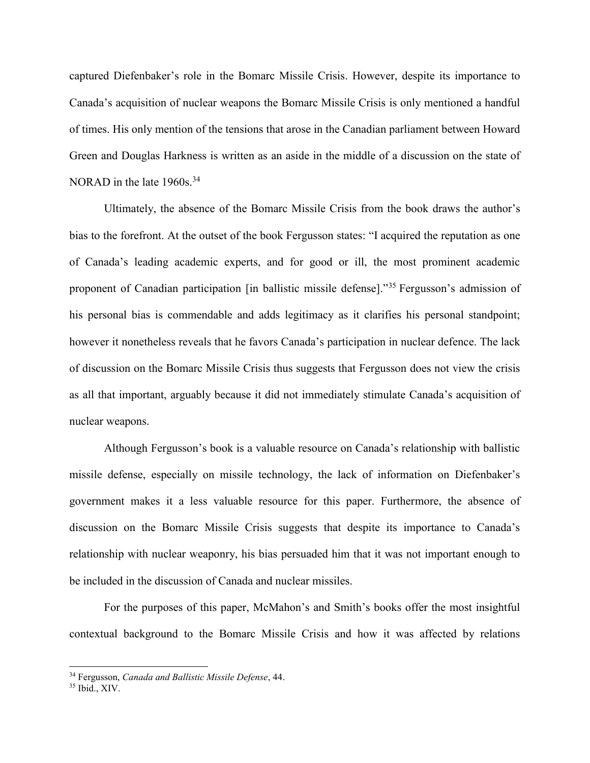captured Diefenbaker's role in the Bomarc Missile Crisis. However, despite its importance to Canada's acquisition of nuclear weapons the Bomarc Missile Crisis is only mentioned a handful of times. His only mention of the tensions that arose in the Canadian parliament between Howard Green and Douglas Harkness is written as an aside in the middle of a discussion on the state of NORAD in the late 1960s.<sup>34</sup>

Ultimately, the absence of the Bomarc Missile Crisis from the book draws the author's bias to the forefront. At the outset of the book Fergusson states: "I acquired the reputation as one of Canada's leading academic experts, and for good or ill, the most prominent academic proponent of Canadian participation [in ballistic missile defense]."<sup>35</sup> Fergusson's admission of his personal bias is commendable and adds legitimacy as it clarifies his personal standpoint; however it nonetheless reveals that he favors Canada's participation in nuclear defence. The lack of discussion on the Bomarc Missile Crisis thus suggests that Fergusson does not view the crisis as all that important, arguably because it did not immediately stimulate Canada's acquisition of nuclear weapons.

Although Fergusson's book is a valuable resource on Canada's relationship with ballistic missile defense, especially on missile technology, the lack of information on Diefenbaker's government makes it a less valuable resource for this paper. Furthermore, the absence of discussion on the Bomarc Missile Crisis suggests that despite its importance to Canada's relationship with nuclear weaponry, his bias persuaded him that it was not important enough to be included in the discussion of Canada and nuclear missiles.

For the purposes of this paper, McMahon's and Smith's books offer the most insightful contextual background to the Bomarc Missile Crisis and how it was affected by relations

l

<sup>34</sup> Fergusson, *Canada and Ballistic Missile Defense*, 44.

 $35$  Ibid., XIV.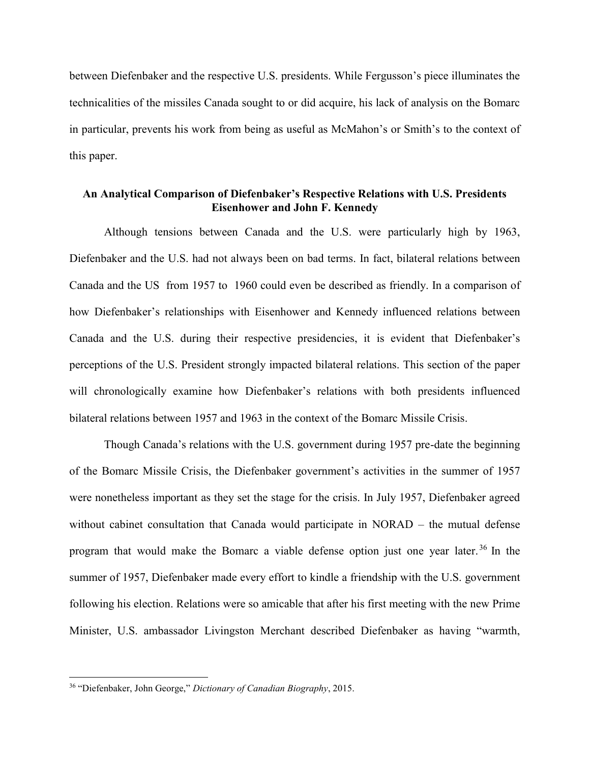between Diefenbaker and the respective U.S. presidents. While Fergusson's piece illuminates the technicalities of the missiles Canada sought to or did acquire, his lack of analysis on the Bomarc in particular, prevents his work from being as useful as McMahon's or Smith's to the context of this paper.

### **An Analytical Comparison of Diefenbaker's Respective Relations with U.S. Presidents Eisenhower and John F. Kennedy**

Although tensions between Canada and the U.S. were particularly high by 1963, Diefenbaker and the U.S. had not always been on bad terms. In fact, bilateral relations between Canada and the US from 1957 to 1960 could even be described as friendly. In a comparison of how Diefenbaker's relationships with Eisenhower and Kennedy influenced relations between Canada and the U.S. during their respective presidencies, it is evident that Diefenbaker's perceptions of the U.S. President strongly impacted bilateral relations. This section of the paper will chronologically examine how Diefenbaker's relations with both presidents influenced bilateral relations between 1957 and 1963 in the context of the Bomarc Missile Crisis.

Though Canada's relations with the U.S. government during 1957 pre-date the beginning of the Bomarc Missile Crisis, the Diefenbaker government's activities in the summer of 1957 were nonetheless important as they set the stage for the crisis. In July 1957, Diefenbaker agreed without cabinet consultation that Canada would participate in NORAD – the mutual defense program that would make the Bomarc a viable defense option just one year later. <sup>36</sup> In the summer of 1957, Diefenbaker made every effort to kindle a friendship with the U.S. government following his election. Relations were so amicable that after his first meeting with the new Prime Minister, U.S. ambassador Livingston Merchant described Diefenbaker as having "warmth,

<sup>36</sup> "Diefenbaker, John George," *Dictionary of Canadian Biography*, 2015.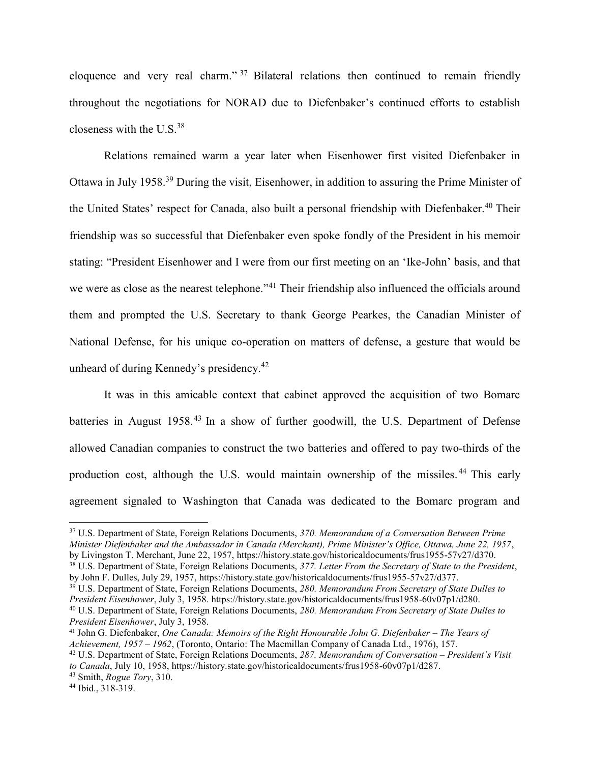eloquence and very real charm." <sup>37</sup> Bilateral relations then continued to remain friendly throughout the negotiations for NORAD due to Diefenbaker's continued efforts to establish closeness with the U.S. $38$ 

Relations remained warm a year later when Eisenhower first visited Diefenbaker in Ottawa in July 1958.<sup>39</sup> During the visit, Eisenhower, in addition to assuring the Prime Minister of the United States' respect for Canada, also built a personal friendship with Diefenbaker. <sup>40</sup> Their friendship was so successful that Diefenbaker even spoke fondly of the President in his memoir stating: "President Eisenhower and I were from our first meeting on an 'Ike-John' basis, and that we were as close as the nearest telephone."<sup>41</sup> Their friendship also influenced the officials around them and prompted the U.S. Secretary to thank George Pearkes, the Canadian Minister of National Defense, for his unique co-operation on matters of defense, a gesture that would be unheard of during Kennedy's presidency.<sup>42</sup>

It was in this amicable context that cabinet approved the acquisition of two Bomarc batteries in August 1958.<sup>43</sup> In a show of further goodwill, the U.S. Department of Defense allowed Canadian companies to construct the two batteries and offered to pay two-thirds of the production cost, although the U.S. would maintain ownership of the missiles.<sup>44</sup> This early agreement signaled to Washington that Canada was dedicated to the Bomarc program and

<sup>37</sup> U.S. Department of State, Foreign Relations Documents, *370. Memorandum of a Conversation Between Prime Minister Diefenbaker and the Ambassador in Canada (Merchant), Prime Minister's Office, Ottawa, June 22, 1957*, by Livingston T. Merchant, June 22, 1957, https://history.state.gov/historicaldocuments/frus1955-57v27/d370.

<sup>38</sup> U.S. Department of State, Foreign Relations Documents, *377. Letter From the Secretary of State to the President*, by John F. Dulles, July 29, 1957, https://history.state.gov/historicaldocuments/frus1955-57v27/d377.

<sup>39</sup> U.S. Department of State, Foreign Relations Documents, *280. Memorandum From Secretary of State Dulles to President Eisenhower*, July 3, 1958. https://history.state.gov/historicaldocuments/frus1958-60v07p1/d280. <sup>40</sup> U.S. Department of State, Foreign Relations Documents, *280. Memorandum From Secretary of State Dulles to President Eisenhower*, July 3, 1958.

<sup>&</sup>lt;sup>41</sup> John G. Diefenbaker, *One Canada: Memoirs of the Right Honourable John G. Diefenbaker – The Years of Achievement, 1957 – 1962*, (Toronto, Ontario: The Macmillan Company of Canada Ltd., 1976), 157.

<sup>42</sup> U.S. Department of State, Foreign Relations Documents, *287. Memorandum of Conversation – President's Visit to Canada*, July 10, 1958, https://history.state.gov/historicaldocuments/frus1958-60v07p1/d287.

<sup>43</sup> Smith, *Rogue Tory*, 310.

<sup>44</sup> Ibid., 318-319.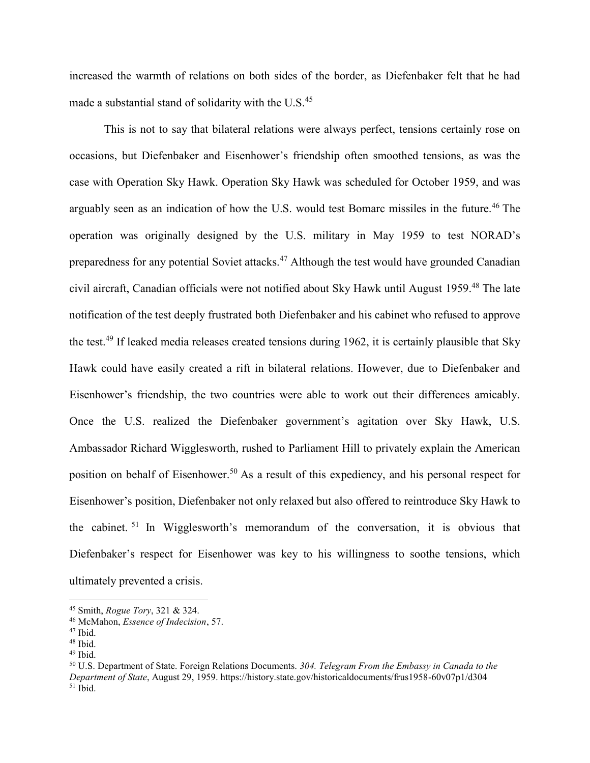increased the warmth of relations on both sides of the border, as Diefenbaker felt that he had made a substantial stand of solidarity with the U.S.<sup>45</sup>

This is not to say that bilateral relations were always perfect, tensions certainly rose on occasions, but Diefenbaker and Eisenhower's friendship often smoothed tensions, as was the case with Operation Sky Hawk. Operation Sky Hawk was scheduled for October 1959, and was arguably seen as an indication of how the U.S. would test Bomarc missiles in the future.<sup>46</sup> The operation was originally designed by the U.S. military in May 1959 to test NORAD's preparedness for any potential Soviet attacks.<sup>47</sup> Although the test would have grounded Canadian civil aircraft, Canadian officials were not notified about Sky Hawk until August 1959. <sup>48</sup> The late notification of the test deeply frustrated both Diefenbaker and his cabinet who refused to approve the test.<sup>49</sup> If leaked media releases created tensions during 1962, it is certainly plausible that Sky Hawk could have easily created a rift in bilateral relations. However, due to Diefenbaker and Eisenhower's friendship, the two countries were able to work out their differences amicably. Once the U.S. realized the Diefenbaker government's agitation over Sky Hawk, U.S. Ambassador Richard Wigglesworth, rushed to Parliament Hill to privately explain the American position on behalf of Eisenhower. <sup>50</sup> As a result of this expediency, and his personal respect for Eisenhower's position, Diefenbaker not only relaxed but also offered to reintroduce Sky Hawk to the cabinet. <sup>51</sup> In Wigglesworth's memorandum of the conversation, it is obvious that Diefenbaker's respect for Eisenhower was key to his willingness to soothe tensions, which ultimately prevented a crisis.

<sup>45</sup> Smith, *Rogue Tory*, 321 & 324.

<sup>46</sup> McMahon, *Essence of Indecision*, 57.

 $47$  Ibid.

<sup>48</sup> Ibid.

 $49$  Ibid.

<sup>50</sup> U.S. Department of State. Foreign Relations Documents. *304. Telegram From the Embassy in Canada to the Department of State*, August 29, 1959. https://history.state.gov/historicaldocuments/frus1958-60v07p1/d304  $51$  Ibid.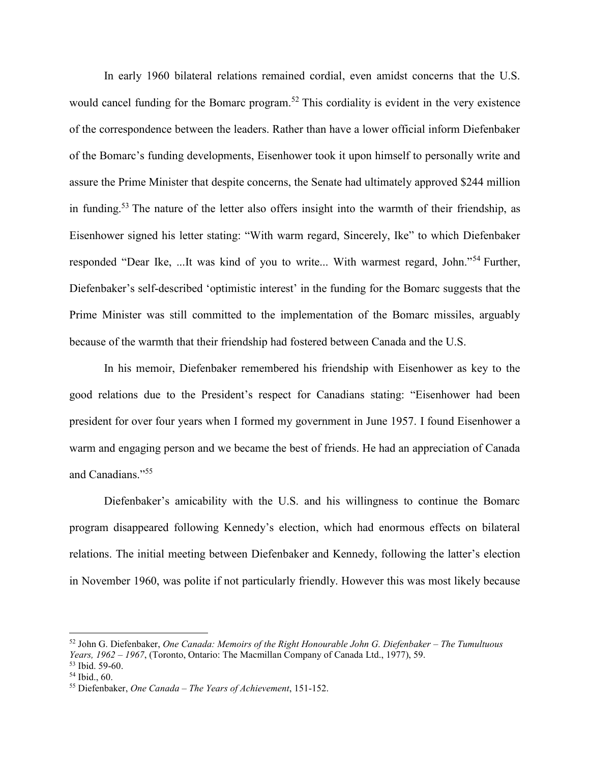In early 1960 bilateral relations remained cordial, even amidst concerns that the U.S. would cancel funding for the Bomarc program.<sup>52</sup> This cordiality is evident in the very existence of the correspondence between the leaders. Rather than have a lower official inform Diefenbaker of the Bomarc's funding developments, Eisenhower took it upon himself to personally write and assure the Prime Minister that despite concerns, the Senate had ultimately approved \$244 million in funding.<sup>53</sup> The nature of the letter also offers insight into the warmth of their friendship, as Eisenhower signed his letter stating: "With warm regard, Sincerely, Ike" to which Diefenbaker responded "Dear Ike, ...It was kind of you to write... With warmest regard, John."<sup>54</sup> Further, Diefenbaker's self-described 'optimistic interest' in the funding for the Bomarc suggests that the Prime Minister was still committed to the implementation of the Bomarc missiles, arguably because of the warmth that their friendship had fostered between Canada and the U.S.

In his memoir, Diefenbaker remembered his friendship with Eisenhower as key to the good relations due to the President's respect for Canadians stating: "Eisenhower had been president for over four years when I formed my government in June 1957. I found Eisenhower a warm and engaging person and we became the best of friends. He had an appreciation of Canada and Canadians."<sup>55</sup>

Diefenbaker's amicability with the U.S. and his willingness to continue the Bomarc program disappeared following Kennedy's election, which had enormous effects on bilateral relations. The initial meeting between Diefenbaker and Kennedy, following the latter's election in November 1960, was polite if not particularly friendly. However this was most likely because

<sup>52</sup> John G. Diefenbaker, *One Canada: Memoirs of the Right Honourable John G. Diefenbaker – The Tumultuous Years, 1962 – 1967*, (Toronto, Ontario: The Macmillan Company of Canada Ltd., 1977), 59. <sup>53</sup> Ibid. 59-60.

<sup>54</sup> Ibid., 60.

<sup>55</sup> Diefenbaker, *One Canada – The Years of Achievement*, 151-152.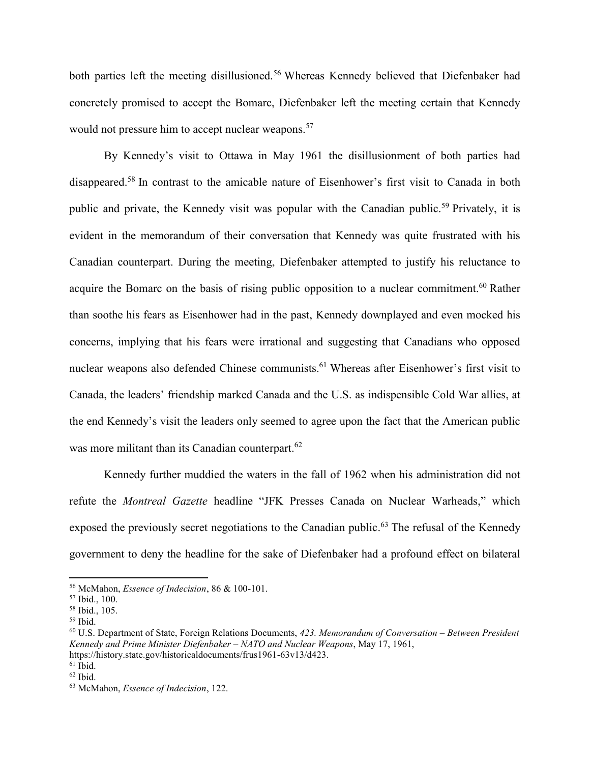both parties left the meeting disillusioned.<sup>56</sup> Whereas Kennedy believed that Diefenbaker had concretely promised to accept the Bomarc, Diefenbaker left the meeting certain that Kennedy would not pressure him to accept nuclear weapons.<sup>57</sup>

By Kennedy's visit to Ottawa in May 1961 the disillusionment of both parties had disappeared. <sup>58</sup> In contrast to the amicable nature of Eisenhower's first visit to Canada in both public and private, the Kennedy visit was popular with the Canadian public.<sup>59</sup> Privately, it is evident in the memorandum of their conversation that Kennedy was quite frustrated with his Canadian counterpart. During the meeting, Diefenbaker attempted to justify his reluctance to acquire the Bomarc on the basis of rising public opposition to a nuclear commitment.<sup>60</sup> Rather than soothe his fears as Eisenhower had in the past, Kennedy downplayed and even mocked his concerns, implying that his fears were irrational and suggesting that Canadians who opposed nuclear weapons also defended Chinese communists.<sup>61</sup> Whereas after Eisenhower's first visit to Canada, the leaders' friendship marked Canada and the U.S. as indispensible Cold War allies, at the end Kennedy's visit the leaders only seemed to agree upon the fact that the American public was more militant than its Canadian counterpart.<sup>62</sup>

Kennedy further muddied the waters in the fall of 1962 when his administration did not refute the *Montreal Gazette* headline "JFK Presses Canada on Nuclear Warheads," which exposed the previously secret negotiations to the Canadian public.<sup>63</sup> The refusal of the Kennedy government to deny the headline for the sake of Diefenbaker had a profound effect on bilateral

<sup>56</sup> McMahon, *Essence of Indecision*, 86 & 100-101.

<sup>57</sup> Ibid., 100.

<sup>58</sup> Ibid., 105.

<sup>59</sup> Ibid.

<sup>60</sup> U.S. Department of State, Foreign Relations Documents, *423. Memorandum of Conversation – Between President Kennedy and Prime Minister Diefenbaker – NATO and Nuclear Weapons*, May 17, 1961, https://history.state.gov/historicaldocuments/frus1961-63v13/d423.

 $61$  Ibid.

 $62$  Ibid.

<sup>63</sup> McMahon, *Essence of Indecision*, 122.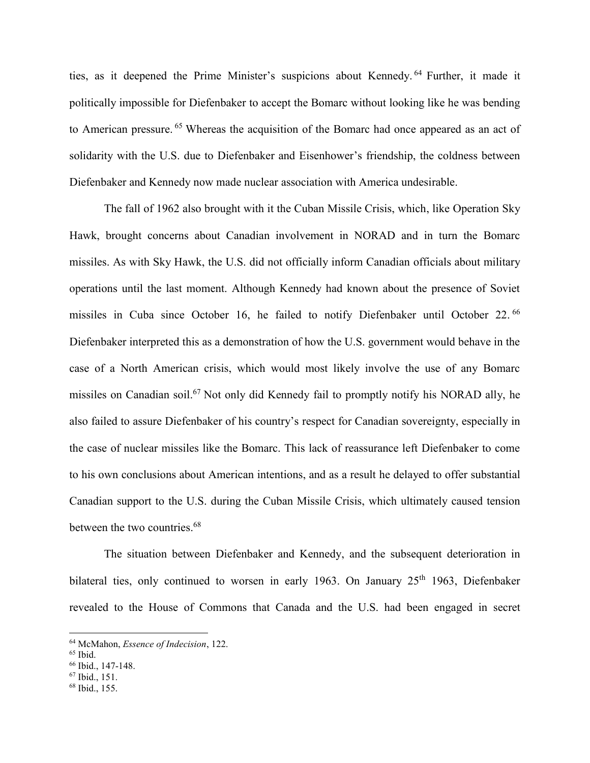ties, as it deepened the Prime Minister's suspicions about Kennedy. <sup>64</sup> Further, it made it politically impossible for Diefenbaker to accept the Bomarc without looking like he was bending to American pressure. <sup>65</sup> Whereas the acquisition of the Bomarc had once appeared as an act of solidarity with the U.S. due to Diefenbaker and Eisenhower's friendship, the coldness between Diefenbaker and Kennedy now made nuclear association with America undesirable.

The fall of 1962 also brought with it the Cuban Missile Crisis, which, like Operation Sky Hawk, brought concerns about Canadian involvement in NORAD and in turn the Bomarc missiles. As with Sky Hawk, the U.S. did not officially inform Canadian officials about military operations until the last moment. Although Kennedy had known about the presence of Soviet missiles in Cuba since October 16, he failed to notify Diefenbaker until October 22.<sup>66</sup> Diefenbaker interpreted this as a demonstration of how the U.S. government would behave in the case of a North American crisis, which would most likely involve the use of any Bomarc missiles on Canadian soil.<sup>67</sup> Not only did Kennedy fail to promptly notify his NORAD ally, he also failed to assure Diefenbaker of his country's respect for Canadian sovereignty, especially in the case of nuclear missiles like the Bomarc. This lack of reassurance left Diefenbaker to come to his own conclusions about American intentions, and as a result he delayed to offer substantial Canadian support to the U.S. during the Cuban Missile Crisis, which ultimately caused tension between the two countries.<sup>68</sup>

The situation between Diefenbaker and Kennedy, and the subsequent deterioration in bilateral ties, only continued to worsen in early 1963. On January 25<sup>th</sup> 1963, Diefenbaker revealed to the House of Commons that Canada and the U.S. had been engaged in secret

<sup>64</sup> McMahon, *Essence of Indecision*, 122.

<sup>65</sup> Ibid.

<sup>66</sup> Ibid., 147-148.

<sup>67</sup> Ibid., 151.

<sup>68</sup> Ibid., 155.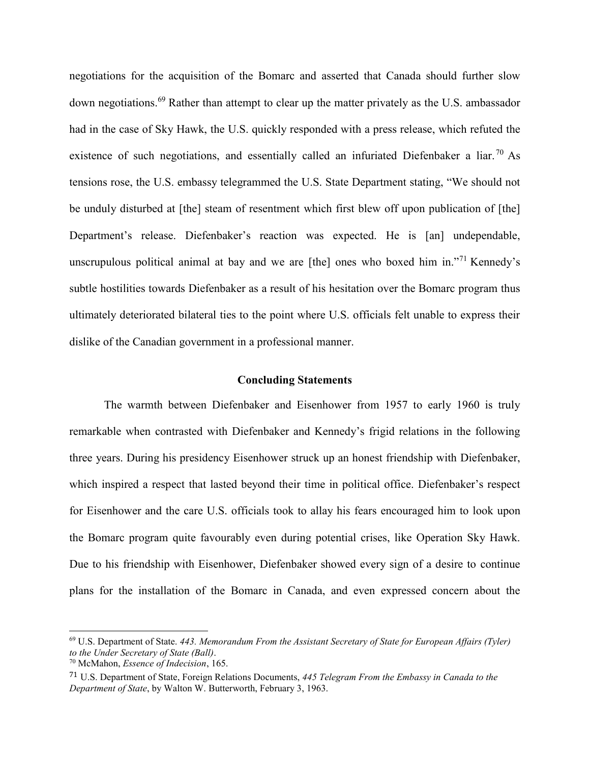negotiations for the acquisition of the Bomarc and asserted that Canada should further slow down negotiations. <sup>69</sup> Rather than attempt to clear up the matter privately as the U.S. ambassador had in the case of Sky Hawk, the U.S. quickly responded with a press release, which refuted the existence of such negotiations, and essentially called an infuriated Diefenbaker a liar.<sup>70</sup> As tensions rose, the U.S. embassy telegrammed the U.S. State Department stating, "We should not be unduly disturbed at [the] steam of resentment which first blew off upon publication of [the] Department's release. Diefenbaker's reaction was expected. He is [an] undependable, unscrupulous political animal at bay and we are [the] ones who boxed him in."<sup>71</sup> Kennedy's subtle hostilities towards Diefenbaker as a result of his hesitation over the Bomarc program thus ultimately deteriorated bilateral ties to the point where U.S. officials felt unable to express their dislike of the Canadian government in a professional manner.

#### **Concluding Statements**

The warmth between Diefenbaker and Eisenhower from 1957 to early 1960 is truly remarkable when contrasted with Diefenbaker and Kennedy's frigid relations in the following three years. During his presidency Eisenhower struck up an honest friendship with Diefenbaker, which inspired a respect that lasted beyond their time in political office. Diefenbaker's respect for Eisenhower and the care U.S. officials took to allay his fears encouraged him to look upon the Bomarc program quite favourably even during potential crises, like Operation Sky Hawk. Due to his friendship with Eisenhower, Diefenbaker showed every sign of a desire to continue plans for the installation of the Bomarc in Canada, and even expressed concern about the

<sup>69</sup> U.S. Department of State. *443. Memorandum From the Assistant Secretary of State for European Affairs (Tyler) to the Under Secretary of State (Ball)*.

<sup>70</sup> McMahon, *Essence of Indecision*, 165.

<sup>71</sup> U.S. Department of State, Foreign Relations Documents, *445 Telegram From the Embassy in Canada to the Department of State*, by Walton W. Butterworth, February 3, 1963.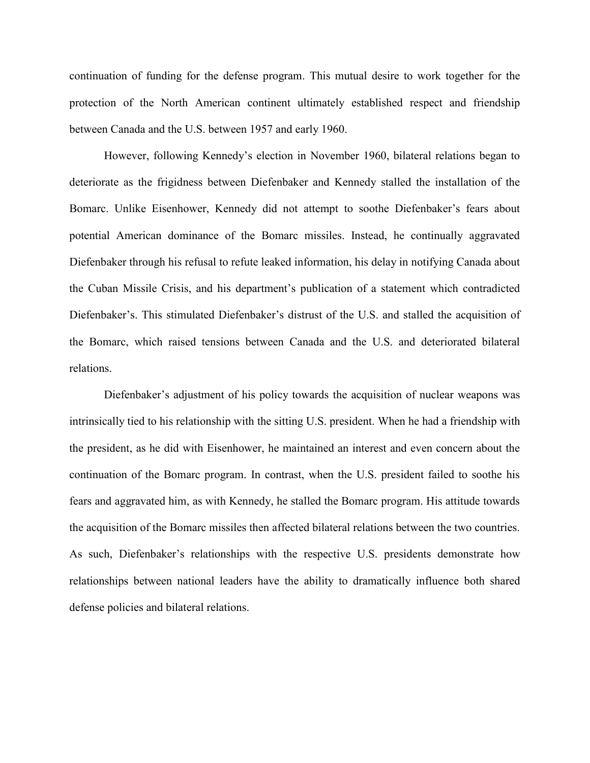continuation of funding for the defense program. This mutual desire to work together for the protection of the North American continent ultimately established respect and friendship between Canada and the U.S. between 1957 and early 1960.

However, following Kennedy's election in November 1960, bilateral relations began to deteriorate as the frigidness between Diefenbaker and Kennedy stalled the installation of the Bomarc. Unlike Eisenhower, Kennedy did not attempt to soothe Diefenbaker's fears about potential American dominance of the Bomarc missiles. Instead, he continually aggravated Diefenbaker through his refusal to refute leaked information, his delay in notifying Canada about the Cuban Missile Crisis, and his department's publication of a statement which contradicted Diefenbaker's. This stimulated Diefenbaker's distrust of the U.S. and stalled the acquisition of the Bomarc, which raised tensions between Canada and the U.S. and deteriorated bilateral relations.

Diefenbaker's adjustment of his policy towards the acquisition of nuclear weapons was intrinsically tied to his relationship with the sitting U.S. president. When he had a friendship with the president, as he did with Eisenhower, he maintained an interest and even concern about the continuation of the Bomarc program. In contrast, when the U.S. president failed to soothe his fears and aggravated him, as with Kennedy, he stalled the Bomarc program. His attitude towards the acquisition of the Bomarc missiles then affected bilateral relations between the two countries. As such, Diefenbaker's relationships with the respective U.S. presidents demonstrate how relationships between national leaders have the ability to dramatically influence both shared defense policies and bilateral relations.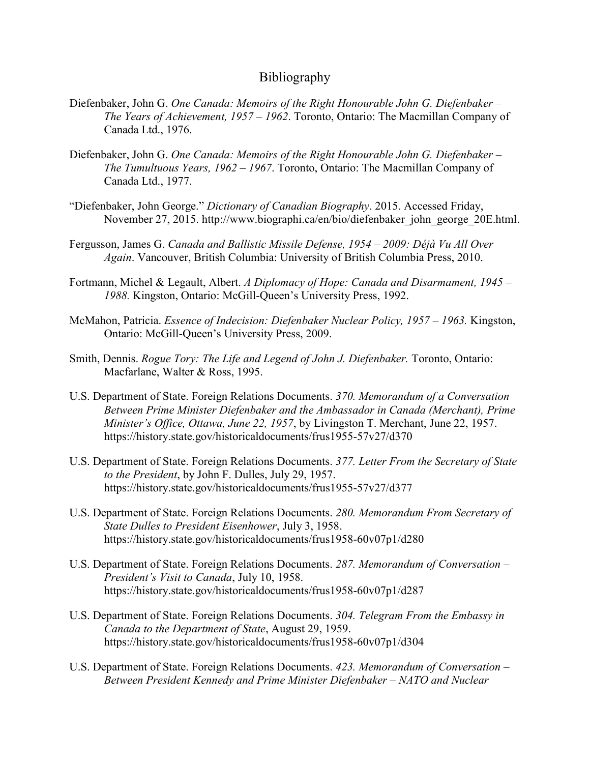## Bibliography

- Diefenbaker, John G. *One Canada: Memoirs of the Right Honourable John G. Diefenbaker – The Years of Achievement, 1957 – 1962*. Toronto, Ontario: The Macmillan Company of Canada Ltd., 1976.
- Diefenbaker, John G. *One Canada: Memoirs of the Right Honourable John G. Diefenbaker – The Tumultuous Years, 1962 – 1967*. Toronto, Ontario: The Macmillan Company of Canada Ltd., 1977.
- "Diefenbaker, John George." *Dictionary of Canadian Biography*. 2015. Accessed Friday, November 27, 2015. http://www.biographi.ca/en/bio/diefenbaker\_john\_george\_20E.html.
- Fergusson, James G. *Canada and Ballistic Missile Defense, 1954 – 2009: Déjà Vu All Over Again*. Vancouver, British Columbia: University of British Columbia Press, 2010.
- Fortmann, Michel & Legault, Albert. *A Diplomacy of Hope: Canada and Disarmament, 1945 – 1988.* Kingston, Ontario: McGill-Queen's University Press, 1992.
- McMahon, Patricia. *Essence of Indecision: Diefenbaker Nuclear Policy, 1957 1963.* Kingston, Ontario: McGill-Queen's University Press, 2009.
- Smith, Dennis. *Rogue Tory: The Life and Legend of John J. Diefenbaker.* Toronto, Ontario: Macfarlane, Walter & Ross, 1995.
- U.S. Department of State. Foreign Relations Documents. *370. Memorandum of a Conversation Between Prime Minister Diefenbaker and the Ambassador in Canada (Merchant), Prime Minister's Office, Ottawa, June 22, 1957*, by Livingston T. Merchant, June 22, 1957. https://history.state.gov/historicaldocuments/frus1955-57v27/d370
- U.S. Department of State. Foreign Relations Documents. *377. Letter From the Secretary of State to the President*, by John F. Dulles, July 29, 1957. https://history.state.gov/historicaldocuments/frus1955-57v27/d377
- U.S. Department of State. Foreign Relations Documents. *280. Memorandum From Secretary of State Dulles to President Eisenhower*, July 3, 1958. https://history.state.gov/historicaldocuments/frus1958-60v07p1/d280
- U.S. Department of State. Foreign Relations Documents. *287. Memorandum of Conversation – President's Visit to Canada*, July 10, 1958. https://history.state.gov/historicaldocuments/frus1958-60v07p1/d287
- U.S. Department of State. Foreign Relations Documents. *304. Telegram From the Embassy in Canada to the Department of State*, August 29, 1959. https://history.state.gov/historicaldocuments/frus1958-60v07p1/d304
- U.S. Department of State. Foreign Relations Documents. *423. Memorandum of Conversation – Between President Kennedy and Prime Minister Diefenbaker – NATO and Nuclear*